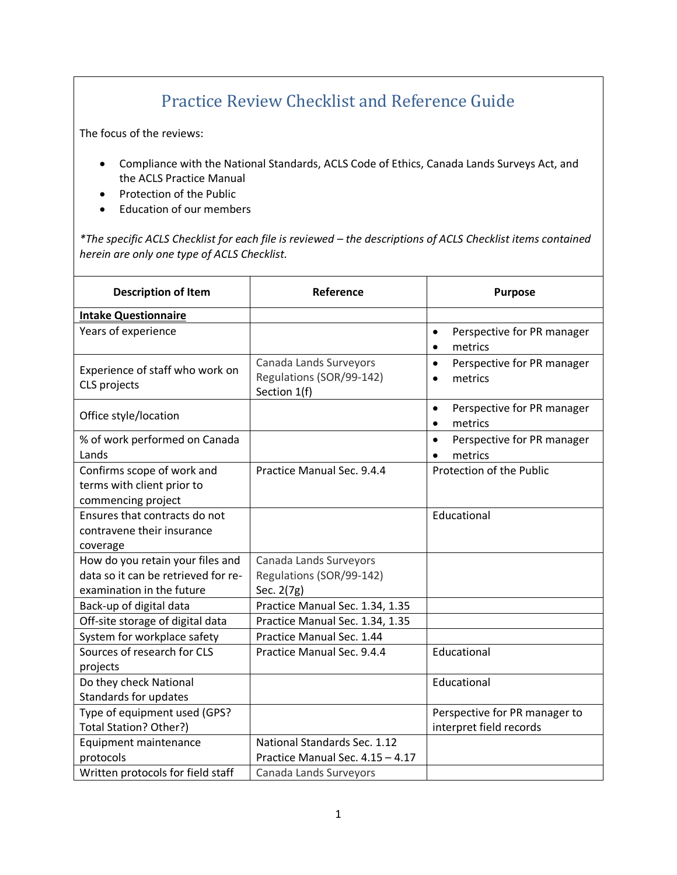## Practice Review Checklist and Reference Guide

The focus of the reviews:

- Compliance with the National Standards, ACLS Code of Ethics, Canada Lands Surveys Act, and the ACLS Practice Manual
- Protection of the Public
- Education of our members

*\*The specific ACLS Checklist for each file is reviewed – the descriptions of ACLS Checklist items contained herein are only one type of ACLS Checklist.*

| <b>Description of Item</b>                                                                           | Reference                                                          | <b>Purpose</b>                                                  |
|------------------------------------------------------------------------------------------------------|--------------------------------------------------------------------|-----------------------------------------------------------------|
| <b>Intake Questionnaire</b>                                                                          |                                                                    |                                                                 |
| Years of experience                                                                                  |                                                                    | Perspective for PR manager<br>$\bullet$<br>metrics<br>$\bullet$ |
| Experience of staff who work on<br>CLS projects                                                      | Canada Lands Surveyors<br>Regulations (SOR/99-142)<br>Section 1(f) | Perspective for PR manager<br>$\bullet$<br>metrics<br>$\bullet$ |
| Office style/location                                                                                |                                                                    | Perspective for PR manager<br>$\bullet$<br>metrics<br>$\bullet$ |
| % of work performed on Canada<br>Lands                                                               |                                                                    | Perspective for PR manager<br>$\bullet$<br>metrics<br>$\bullet$ |
| Confirms scope of work and<br>terms with client prior to<br>commencing project                       | Practice Manual Sec. 9.4.4                                         | Protection of the Public                                        |
| Ensures that contracts do not<br>contravene their insurance<br>coverage                              |                                                                    | Educational                                                     |
| How do you retain your files and<br>data so it can be retrieved for re-<br>examination in the future | Canada Lands Surveyors<br>Regulations (SOR/99-142)<br>Sec. 2(7g)   |                                                                 |
| Back-up of digital data                                                                              | Practice Manual Sec. 1.34, 1.35                                    |                                                                 |
| Off-site storage of digital data                                                                     | Practice Manual Sec. 1.34, 1.35                                    |                                                                 |
| System for workplace safety                                                                          | Practice Manual Sec. 1.44                                          |                                                                 |
| Sources of research for CLS<br>projects                                                              | Practice Manual Sec. 9.4.4                                         | Educational                                                     |
| Do they check National<br>Standards for updates                                                      |                                                                    | Educational                                                     |
| Type of equipment used (GPS?<br>Total Station? Other?)                                               |                                                                    | Perspective for PR manager to<br>interpret field records        |
| Equipment maintenance<br>protocols                                                                   | National Standards Sec. 1.12<br>Practice Manual Sec. 4.15 - 4.17   |                                                                 |
| Written protocols for field staff                                                                    | Canada Lands Surveyors                                             |                                                                 |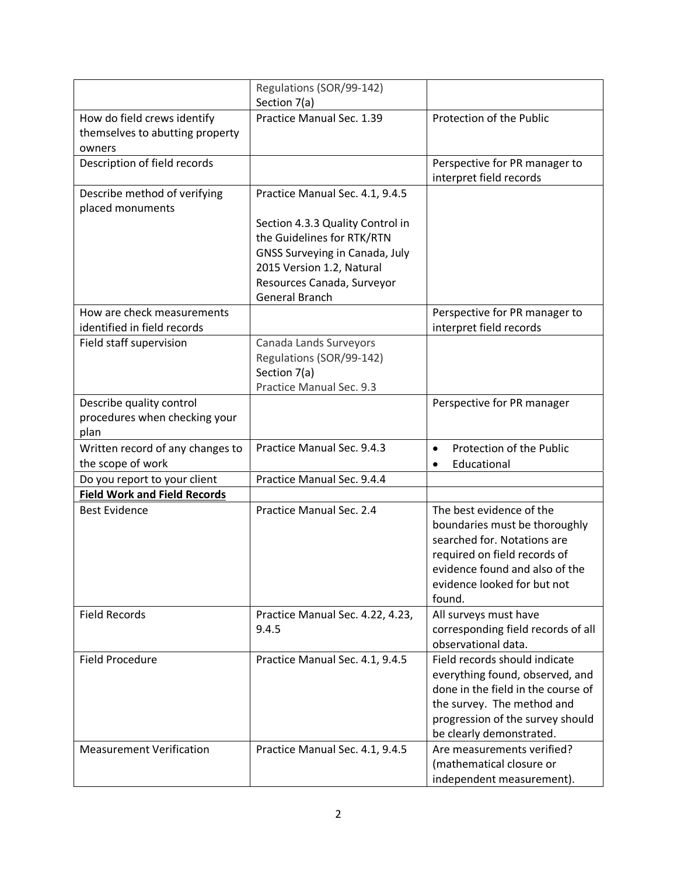|                                                       | Regulations (SOR/99-142)                     |                                                           |
|-------------------------------------------------------|----------------------------------------------|-----------------------------------------------------------|
|                                                       | Section 7(a)                                 |                                                           |
| How do field crews identify                           | Practice Manual Sec. 1.39                    | Protection of the Public                                  |
| themselves to abutting property                       |                                              |                                                           |
| owners<br>Description of field records                |                                              | Perspective for PR manager to                             |
|                                                       |                                              | interpret field records                                   |
| Describe method of verifying                          | Practice Manual Sec. 4.1, 9.4.5              |                                                           |
| placed monuments                                      |                                              |                                                           |
|                                                       | Section 4.3.3 Quality Control in             |                                                           |
|                                                       | the Guidelines for RTK/RTN                   |                                                           |
|                                                       | GNSS Surveying in Canada, July               |                                                           |
|                                                       | 2015 Version 1.2, Natural                    |                                                           |
|                                                       | Resources Canada, Surveyor<br>General Branch |                                                           |
| How are check measurements                            |                                              | Perspective for PR manager to                             |
| identified in field records                           |                                              | interpret field records                                   |
| Field staff supervision                               | Canada Lands Surveyors                       |                                                           |
|                                                       | Regulations (SOR/99-142)                     |                                                           |
|                                                       | Section 7(a)                                 |                                                           |
|                                                       | Practice Manual Sec. 9.3                     |                                                           |
| Describe quality control                              |                                              | Perspective for PR manager                                |
| procedures when checking your                         |                                              |                                                           |
| plan                                                  |                                              |                                                           |
| Written record of any changes to<br>the scope of work | Practice Manual Sec. 9.4.3                   | Protection of the Public<br>$\bullet$<br>Educational      |
| Do you report to your client                          | Practice Manual Sec. 9.4.4                   | $\bullet$                                                 |
| <b>Field Work and Field Records</b>                   |                                              |                                                           |
| <b>Best Evidence</b>                                  | Practice Manual Sec. 2.4                     | The best evidence of the                                  |
|                                                       |                                              | boundaries must be thoroughly                             |
|                                                       |                                              | searched for. Notations are                               |
|                                                       |                                              | required on field records of                              |
|                                                       |                                              | evidence found and also of the                            |
|                                                       |                                              | evidence looked for but not                               |
|                                                       |                                              | found.                                                    |
| <b>Field Records</b>                                  | Practice Manual Sec. 4.22, 4.23,             | All surveys must have                                     |
|                                                       | 9.4.5                                        | corresponding field records of all<br>observational data. |
| <b>Field Procedure</b>                                | Practice Manual Sec. 4.1, 9.4.5              | Field records should indicate                             |
|                                                       |                                              | everything found, observed, and                           |
|                                                       |                                              | done in the field in the course of                        |
|                                                       |                                              | the survey. The method and                                |
|                                                       |                                              | progression of the survey should                          |
|                                                       |                                              | be clearly demonstrated.                                  |
| <b>Measurement Verification</b>                       | Practice Manual Sec. 4.1, 9.4.5              | Are measurements verified?                                |
|                                                       |                                              | (mathematical closure or                                  |
|                                                       |                                              | independent measurement).                                 |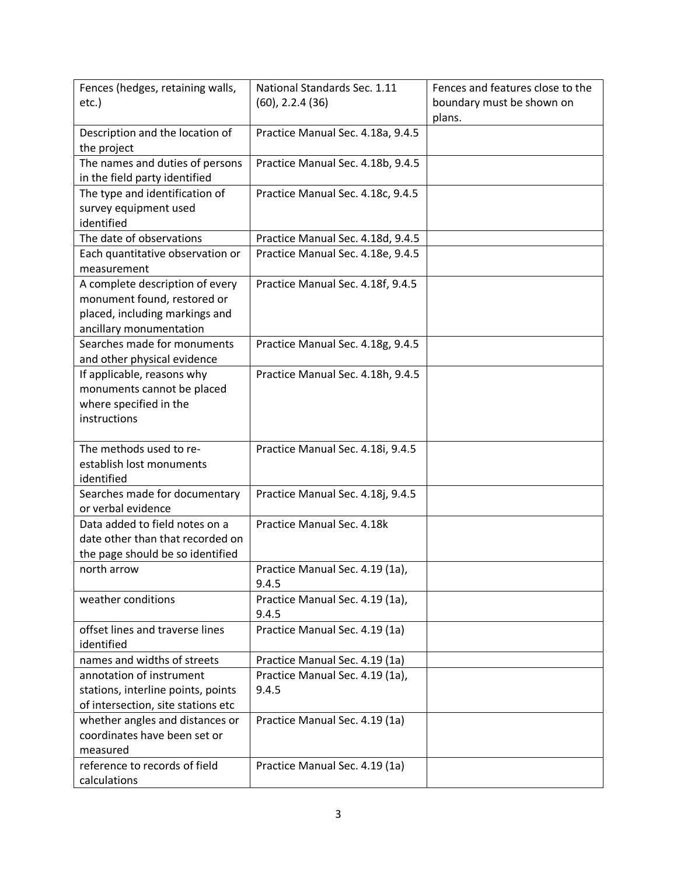| Fences (hedges, retaining walls,   | National Standards Sec. 1.11             | Fences and features close to the |
|------------------------------------|------------------------------------------|----------------------------------|
| $etc.$ )                           | $(60)$ , 2.2.4 $(36)$                    | boundary must be shown on        |
|                                    |                                          | plans.                           |
| Description and the location of    | Practice Manual Sec. 4.18a, 9.4.5        |                                  |
| the project                        |                                          |                                  |
| The names and duties of persons    | Practice Manual Sec. 4.18b, 9.4.5        |                                  |
| in the field party identified      |                                          |                                  |
| The type and identification of     | Practice Manual Sec. 4.18c, 9.4.5        |                                  |
| survey equipment used              |                                          |                                  |
| identified                         |                                          |                                  |
| The date of observations           | Practice Manual Sec. 4.18d, 9.4.5        |                                  |
| Each quantitative observation or   | Practice Manual Sec. 4.18e, 9.4.5        |                                  |
| measurement                        |                                          |                                  |
| A complete description of every    | Practice Manual Sec. 4.18f, 9.4.5        |                                  |
| monument found, restored or        |                                          |                                  |
| placed, including markings and     |                                          |                                  |
| ancillary monumentation            |                                          |                                  |
| Searches made for monuments        | Practice Manual Sec. 4.18g, 9.4.5        |                                  |
| and other physical evidence        |                                          |                                  |
| If applicable, reasons why         | Practice Manual Sec. 4.18h, 9.4.5        |                                  |
| monuments cannot be placed         |                                          |                                  |
| where specified in the             |                                          |                                  |
| instructions                       |                                          |                                  |
|                                    |                                          |                                  |
| The methods used to re-            | Practice Manual Sec. 4.18i, 9.4.5        |                                  |
| establish lost monuments           |                                          |                                  |
| identified                         |                                          |                                  |
| Searches made for documentary      | Practice Manual Sec. 4.18j, 9.4.5        |                                  |
| or verbal evidence                 |                                          |                                  |
| Data added to field notes on a     | Practice Manual Sec. 4.18k               |                                  |
| date other than that recorded on   |                                          |                                  |
| the page should be so identified   |                                          |                                  |
| north arrow                        | Practice Manual Sec. 4.19 (1a),          |                                  |
|                                    | 9.4.5                                    |                                  |
| weather conditions                 | Practice Manual Sec. 4.19 (1a),          |                                  |
| offset lines and traverse lines    | 9.4.5                                    |                                  |
| identified                         | Practice Manual Sec. 4.19 (1a)           |                                  |
| names and widths of streets        | Practice Manual Sec. 4.19 (1a)           |                                  |
| annotation of instrument           |                                          |                                  |
| stations, interline points, points | Practice Manual Sec. 4.19 (1a),<br>9.4.5 |                                  |
| of intersection, site stations etc |                                          |                                  |
| whether angles and distances or    | Practice Manual Sec. 4.19 (1a)           |                                  |
| coordinates have been set or       |                                          |                                  |
| measured                           |                                          |                                  |
| reference to records of field      | Practice Manual Sec. 4.19 (1a)           |                                  |
| calculations                       |                                          |                                  |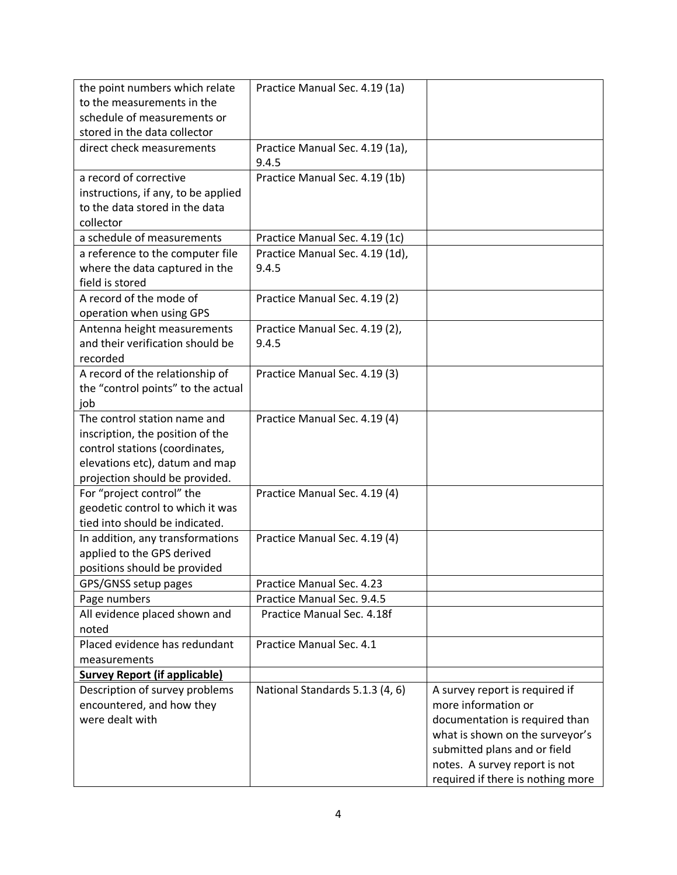| the point numbers which relate<br>to the measurements in the<br>schedule of measurements or<br>stored in the data collector                                            | Practice Manual Sec. 4.19 (1a)           |                                                                                                                                                                                                                                  |
|------------------------------------------------------------------------------------------------------------------------------------------------------------------------|------------------------------------------|----------------------------------------------------------------------------------------------------------------------------------------------------------------------------------------------------------------------------------|
| direct check measurements                                                                                                                                              | Practice Manual Sec. 4.19 (1a),<br>9.4.5 |                                                                                                                                                                                                                                  |
| a record of corrective<br>instructions, if any, to be applied<br>to the data stored in the data<br>collector                                                           | Practice Manual Sec. 4.19 (1b)           |                                                                                                                                                                                                                                  |
| a schedule of measurements                                                                                                                                             | Practice Manual Sec. 4.19 (1c)           |                                                                                                                                                                                                                                  |
| a reference to the computer file<br>where the data captured in the<br>field is stored                                                                                  | Practice Manual Sec. 4.19 (1d),<br>9.4.5 |                                                                                                                                                                                                                                  |
| A record of the mode of<br>operation when using GPS                                                                                                                    | Practice Manual Sec. 4.19 (2)            |                                                                                                                                                                                                                                  |
| Antenna height measurements<br>and their verification should be<br>recorded                                                                                            | Practice Manual Sec. 4.19 (2),<br>9.4.5  |                                                                                                                                                                                                                                  |
| A record of the relationship of<br>the "control points" to the actual<br>job                                                                                           | Practice Manual Sec. 4.19 (3)            |                                                                                                                                                                                                                                  |
| The control station name and<br>inscription, the position of the<br>control stations (coordinates,<br>elevations etc), datum and map<br>projection should be provided. | Practice Manual Sec. 4.19 (4)            |                                                                                                                                                                                                                                  |
| For "project control" the<br>geodetic control to which it was<br>tied into should be indicated.                                                                        | Practice Manual Sec. 4.19 (4)            |                                                                                                                                                                                                                                  |
| In addition, any transformations<br>applied to the GPS derived<br>positions should be provided                                                                         | Practice Manual Sec. 4.19 (4)            |                                                                                                                                                                                                                                  |
| GPS/GNSS setup pages                                                                                                                                                   | Practice Manual Sec. 4.23                |                                                                                                                                                                                                                                  |
| Page numbers                                                                                                                                                           | Practice Manual Sec. 9.4.5               |                                                                                                                                                                                                                                  |
| All evidence placed shown and<br>noted                                                                                                                                 | Practice Manual Sec. 4.18f               |                                                                                                                                                                                                                                  |
| Placed evidence has redundant<br>measurements                                                                                                                          | Practice Manual Sec. 4.1                 |                                                                                                                                                                                                                                  |
| <b>Survey Report (if applicable)</b>                                                                                                                                   |                                          |                                                                                                                                                                                                                                  |
| Description of survey problems<br>encountered, and how they<br>were dealt with                                                                                         | National Standards 5.1.3 (4, 6)          | A survey report is required if<br>more information or<br>documentation is required than<br>what is shown on the surveyor's<br>submitted plans and or field<br>notes. A survey report is not<br>required if there is nothing more |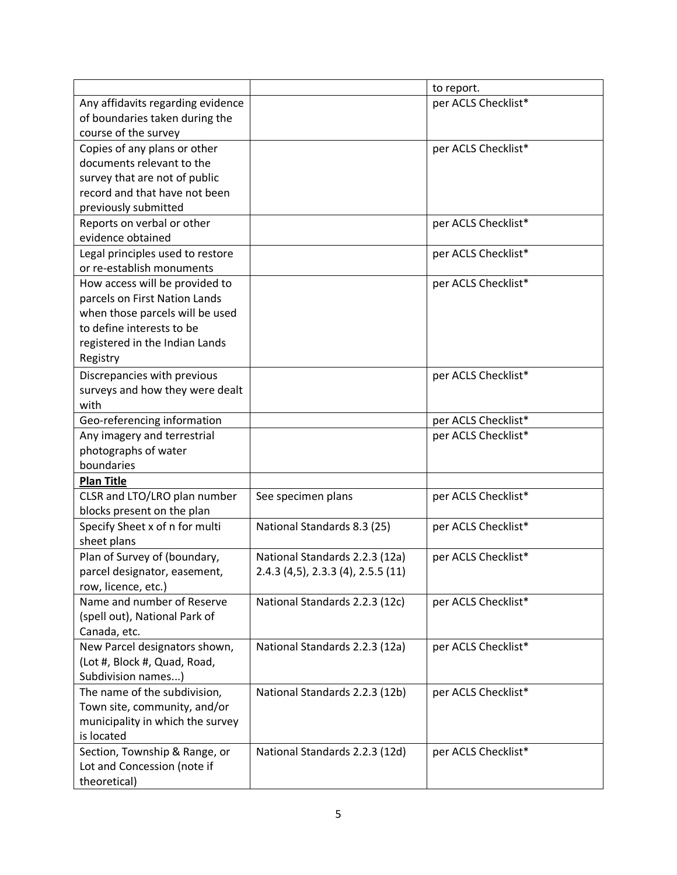|                                   |                                    | to report.          |
|-----------------------------------|------------------------------------|---------------------|
| Any affidavits regarding evidence |                                    | per ACLS Checklist* |
| of boundaries taken during the    |                                    |                     |
| course of the survey              |                                    |                     |
| Copies of any plans or other      |                                    | per ACLS Checklist* |
| documents relevant to the         |                                    |                     |
| survey that are not of public     |                                    |                     |
| record and that have not been     |                                    |                     |
| previously submitted              |                                    |                     |
| Reports on verbal or other        |                                    | per ACLS Checklist* |
| evidence obtained                 |                                    |                     |
| Legal principles used to restore  |                                    | per ACLS Checklist* |
| or re-establish monuments         |                                    |                     |
| How access will be provided to    |                                    | per ACLS Checklist* |
| parcels on First Nation Lands     |                                    |                     |
| when those parcels will be used   |                                    |                     |
| to define interests to be         |                                    |                     |
| registered in the Indian Lands    |                                    |                     |
| Registry                          |                                    |                     |
| Discrepancies with previous       |                                    | per ACLS Checklist* |
| surveys and how they were dealt   |                                    |                     |
| with                              |                                    |                     |
| Geo-referencing information       |                                    | per ACLS Checklist* |
| Any imagery and terrestrial       |                                    | per ACLS Checklist* |
| photographs of water              |                                    |                     |
| boundaries                        |                                    |                     |
| <b>Plan Title</b>                 |                                    |                     |
| CLSR and LTO/LRO plan number      | See specimen plans                 | per ACLS Checklist* |
| blocks present on the plan        |                                    |                     |
| Specify Sheet x of n for multi    | National Standards 8.3 (25)        | per ACLS Checklist* |
| sheet plans                       |                                    |                     |
| Plan of Survey of (boundary,      | National Standards 2.2.3 (12a)     | per ACLS Checklist* |
| parcel designator, easement,      | 2.4.3 (4,5), 2.3.3 (4), 2.5.5 (11) |                     |
| row, licence, etc.)               |                                    |                     |
| Name and number of Reserve        | National Standards 2.2.3 (12c)     | per ACLS Checklist* |
| (spell out), National Park of     |                                    |                     |
| Canada, etc.                      |                                    |                     |
| New Parcel designators shown,     | National Standards 2.2.3 (12a)     | per ACLS Checklist* |
| (Lot #, Block #, Quad, Road,      |                                    |                     |
| Subdivision names)                |                                    |                     |
| The name of the subdivision,      | National Standards 2.2.3 (12b)     | per ACLS Checklist* |
| Town site, community, and/or      |                                    |                     |
| municipality in which the survey  |                                    |                     |
| is located                        |                                    |                     |
| Section, Township & Range, or     | National Standards 2.2.3 (12d)     | per ACLS Checklist* |
| Lot and Concession (note if       |                                    |                     |
| theoretical)                      |                                    |                     |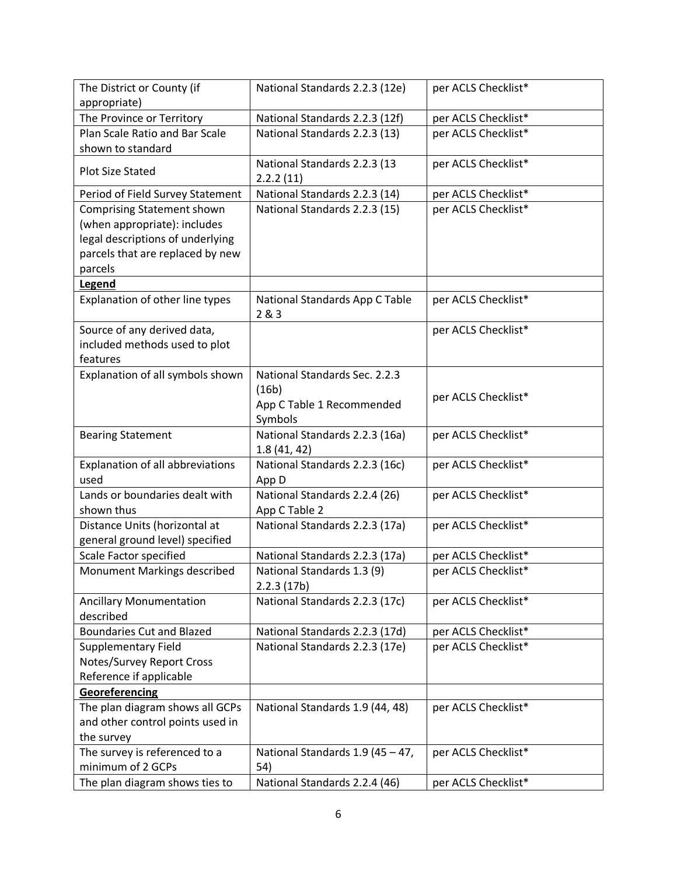| The District or County (if                          | National Standards 2.2.3 (12e)            | per ACLS Checklist* |
|-----------------------------------------------------|-------------------------------------------|---------------------|
| appropriate)                                        |                                           |                     |
| The Province or Territory                           | National Standards 2.2.3 (12f)            | per ACLS Checklist* |
| Plan Scale Ratio and Bar Scale<br>shown to standard | National Standards 2.2.3 (13)             | per ACLS Checklist* |
| <b>Plot Size Stated</b>                             | National Standards 2.2.3 (13<br>2.2.2(11) | per ACLS Checklist* |
| Period of Field Survey Statement                    | National Standards 2.2.3 (14)             | per ACLS Checklist* |
| <b>Comprising Statement shown</b>                   | National Standards 2.2.3 (15)             | per ACLS Checklist* |
| (when appropriate): includes                        |                                           |                     |
| legal descriptions of underlying                    |                                           |                     |
| parcels that are replaced by new                    |                                           |                     |
| parcels                                             |                                           |                     |
| Legend                                              |                                           |                     |
| Explanation of other line types                     | National Standards App C Table<br>283     | per ACLS Checklist* |
| Source of any derived data,                         |                                           | per ACLS Checklist* |
| included methods used to plot                       |                                           |                     |
| features                                            |                                           |                     |
| Explanation of all symbols shown                    | National Standards Sec. 2.2.3             |                     |
|                                                     | (16b)                                     | per ACLS Checklist* |
|                                                     | App C Table 1 Recommended                 |                     |
|                                                     | Symbols                                   |                     |
| <b>Bearing Statement</b>                            | National Standards 2.2.3 (16a)            | per ACLS Checklist* |
|                                                     | 1.8(41, 42)                               |                     |
| Explanation of all abbreviations                    | National Standards 2.2.3 (16c)            | per ACLS Checklist* |
| used                                                | App D                                     |                     |
| Lands or boundaries dealt with                      | National Standards 2.2.4 (26)             | per ACLS Checklist* |
| shown thus                                          | App C Table 2                             |                     |
| Distance Units (horizontal at                       | National Standards 2.2.3 (17a)            | per ACLS Checklist* |
| general ground level) specified                     |                                           |                     |
| Scale Factor specified                              | National Standards 2.2.3 (17a)            | per ACLS Checklist* |
| Monument Markings described                         | National Standards 1.3 (9)<br>2.2.3(17b)  | per ACLS Checklist* |
| <b>Ancillary Monumentation</b>                      | National Standards 2.2.3 (17c)            | per ACLS Checklist* |
| described                                           |                                           |                     |
| <b>Boundaries Cut and Blazed</b>                    | National Standards 2.2.3 (17d)            | per ACLS Checklist* |
| <b>Supplementary Field</b>                          | National Standards 2.2.3 (17e)            | per ACLS Checklist* |
| Notes/Survey Report Cross                           |                                           |                     |
| Reference if applicable                             |                                           |                     |
| Georeferencing                                      |                                           |                     |
| The plan diagram shows all GCPs                     | National Standards 1.9 (44, 48)           | per ACLS Checklist* |
| and other control points used in                    |                                           |                     |
| the survey                                          |                                           |                     |
| The survey is referenced to a                       | National Standards 1.9 (45 - 47,          | per ACLS Checklist* |
| minimum of 2 GCPs                                   | 54)                                       |                     |
| The plan diagram shows ties to                      | National Standards 2.2.4 (46)             | per ACLS Checklist* |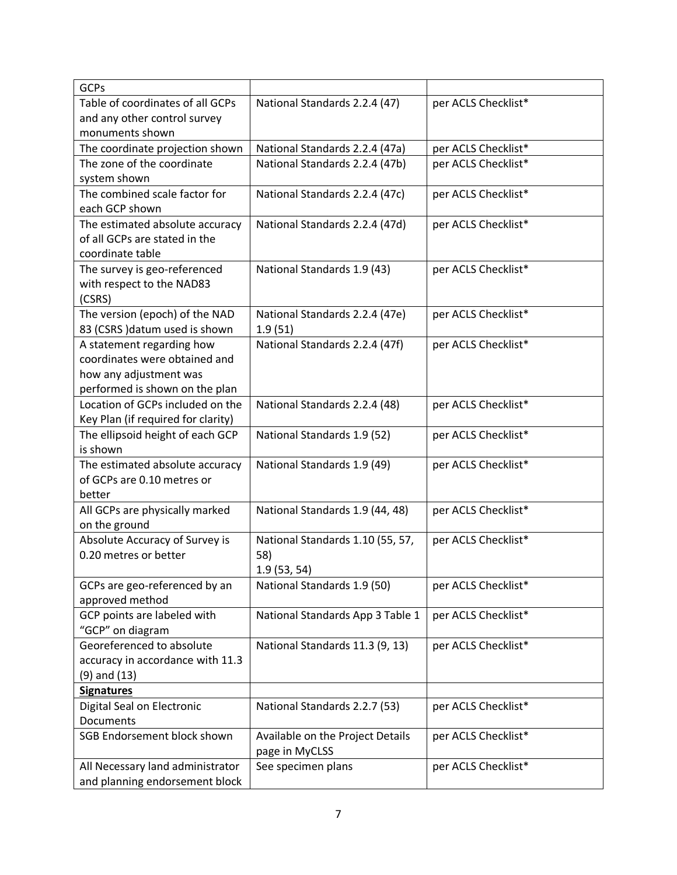| <b>GCPs</b>                                                |                                           |                     |
|------------------------------------------------------------|-------------------------------------------|---------------------|
| Table of coordinates of all GCPs                           | National Standards 2.2.4 (47)             | per ACLS Checklist* |
| and any other control survey                               |                                           |                     |
| monuments shown                                            |                                           |                     |
| The coordinate projection shown                            | National Standards 2.2.4 (47a)            | per ACLS Checklist* |
| The zone of the coordinate                                 | National Standards 2.2.4 (47b)            | per ACLS Checklist* |
| system shown                                               |                                           |                     |
| The combined scale factor for                              | National Standards 2.2.4 (47c)            | per ACLS Checklist* |
| each GCP shown                                             |                                           |                     |
| The estimated absolute accuracy                            | National Standards 2.2.4 (47d)            | per ACLS Checklist* |
| of all GCPs are stated in the                              |                                           |                     |
| coordinate table                                           |                                           |                     |
| The survey is geo-referenced                               | National Standards 1.9 (43)               | per ACLS Checklist* |
| with respect to the NAD83                                  |                                           |                     |
| (CSRS)                                                     |                                           |                     |
| The version (epoch) of the NAD                             | National Standards 2.2.4 (47e)            | per ACLS Checklist* |
| 83 (CSRS) datum used is shown<br>A statement regarding how | 1.9(51)<br>National Standards 2.2.4 (47f) | per ACLS Checklist* |
| coordinates were obtained and                              |                                           |                     |
| how any adjustment was                                     |                                           |                     |
| performed is shown on the plan                             |                                           |                     |
| Location of GCPs included on the                           | National Standards 2.2.4 (48)             | per ACLS Checklist* |
| Key Plan (if required for clarity)                         |                                           |                     |
| The ellipsoid height of each GCP                           | National Standards 1.9 (52)               | per ACLS Checklist* |
| is shown                                                   |                                           |                     |
| The estimated absolute accuracy                            | National Standards 1.9 (49)               | per ACLS Checklist* |
| of GCPs are 0.10 metres or                                 |                                           |                     |
| better                                                     |                                           |                     |
| All GCPs are physically marked                             | National Standards 1.9 (44, 48)           | per ACLS Checklist* |
| on the ground                                              |                                           |                     |
| Absolute Accuracy of Survey is                             | National Standards 1.10 (55, 57,          | per ACLS Checklist* |
| 0.20 metres or better                                      | 58)                                       |                     |
|                                                            | 1.9(53, 54)                               |                     |
| GCPs are geo-referenced by an                              | National Standards 1.9 (50)               | per ACLS Checklist* |
| approved method                                            |                                           |                     |
| GCP points are labeled with                                | National Standards App 3 Table 1          | per ACLS Checklist* |
| "GCP" on diagram                                           |                                           |                     |
| Georeferenced to absolute                                  | National Standards 11.3 (9, 13)           | per ACLS Checklist* |
| accuracy in accordance with 11.3                           |                                           |                     |
| $(9)$ and $(13)$                                           |                                           |                     |
| <b>Signatures</b>                                          |                                           |                     |
| Digital Seal on Electronic                                 | National Standards 2.2.7 (53)             | per ACLS Checklist* |
| Documents                                                  |                                           |                     |
| <b>SGB Endorsement block shown</b>                         | Available on the Project Details          | per ACLS Checklist* |
| All Necessary land administrator                           | page in MyCLSS<br>See specimen plans      | per ACLS Checklist* |
| and planning endorsement block                             |                                           |                     |
|                                                            |                                           |                     |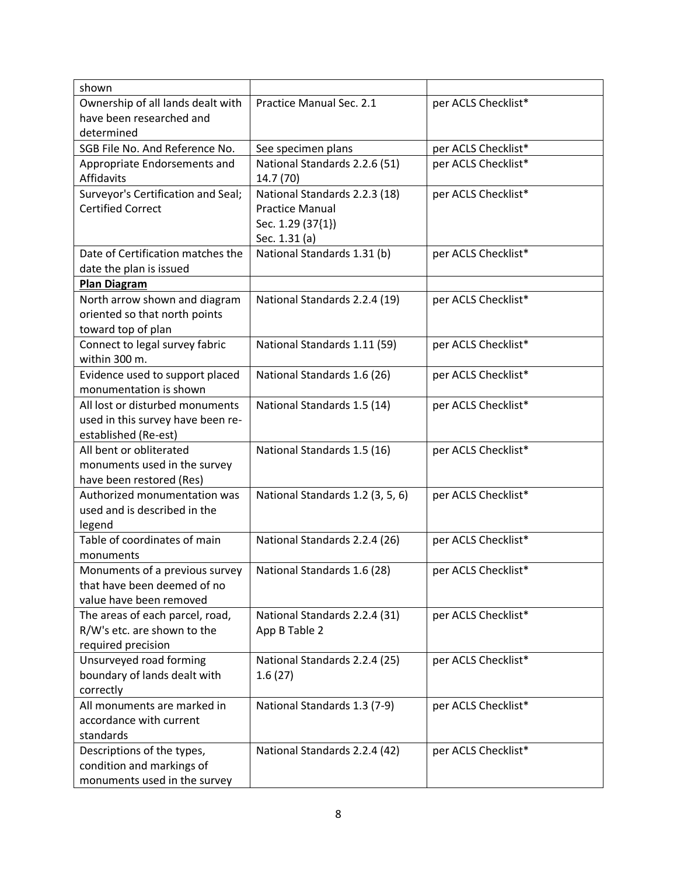| shown                                           |                                  |                     |
|-------------------------------------------------|----------------------------------|---------------------|
| Ownership of all lands dealt with               | Practice Manual Sec. 2.1         | per ACLS Checklist* |
| have been researched and                        |                                  |                     |
| determined                                      |                                  |                     |
| SGB File No. And Reference No.                  | See specimen plans               | per ACLS Checklist* |
| Appropriate Endorsements and                    | National Standards 2.2.6 (51)    | per ACLS Checklist* |
| Affidavits                                      | 14.7 (70)                        |                     |
| Surveyor's Certification and Seal;              | National Standards 2.2.3 (18)    | per ACLS Checklist* |
| <b>Certified Correct</b>                        | <b>Practice Manual</b>           |                     |
|                                                 | Sec. 1.29 (37{1})                |                     |
|                                                 | Sec. 1.31 (a)                    |                     |
| Date of Certification matches the               | National Standards 1.31 (b)      | per ACLS Checklist* |
| date the plan is issued                         |                                  |                     |
| <b>Plan Diagram</b>                             |                                  |                     |
| North arrow shown and diagram                   | National Standards 2.2.4 (19)    | per ACLS Checklist* |
| oriented so that north points                   |                                  |                     |
| toward top of plan                              |                                  |                     |
| Connect to legal survey fabric<br>within 300 m. | National Standards 1.11 (59)     | per ACLS Checklist* |
| Evidence used to support placed                 | National Standards 1.6 (26)      | per ACLS Checklist* |
| monumentation is shown                          |                                  |                     |
| All lost or disturbed monuments                 | National Standards 1.5 (14)      | per ACLS Checklist* |
| used in this survey have been re-               |                                  |                     |
| established (Re-est)                            |                                  |                     |
| All bent or obliterated                         | National Standards 1.5 (16)      | per ACLS Checklist* |
| monuments used in the survey                    |                                  |                     |
| have been restored (Res)                        |                                  |                     |
| Authorized monumentation was                    | National Standards 1.2 (3, 5, 6) | per ACLS Checklist* |
| used and is described in the                    |                                  |                     |
| legend                                          |                                  |                     |
| Table of coordinates of main                    | National Standards 2.2.4 (26)    | per ACLS Checklist* |
| monuments                                       |                                  |                     |
| Monuments of a previous survey                  | National Standards 1.6 (28)      | per ACLS Checklist* |
| that have been deemed of no                     |                                  |                     |
| value have been removed                         |                                  |                     |
| The areas of each parcel, road,                 | National Standards 2.2.4 (31)    | per ACLS Checklist* |
| R/W's etc. are shown to the                     | App B Table 2                    |                     |
| required precision                              |                                  |                     |
| Unsurveyed road forming                         | National Standards 2.2.4 (25)    | per ACLS Checklist* |
| boundary of lands dealt with                    | 1.6(27)                          |                     |
| correctly                                       |                                  |                     |
| All monuments are marked in                     | National Standards 1.3 (7-9)     | per ACLS Checklist* |
| accordance with current<br>standards            |                                  |                     |
| Descriptions of the types,                      | National Standards 2.2.4 (42)    | per ACLS Checklist* |
| condition and markings of                       |                                  |                     |
| monuments used in the survey                    |                                  |                     |
|                                                 |                                  |                     |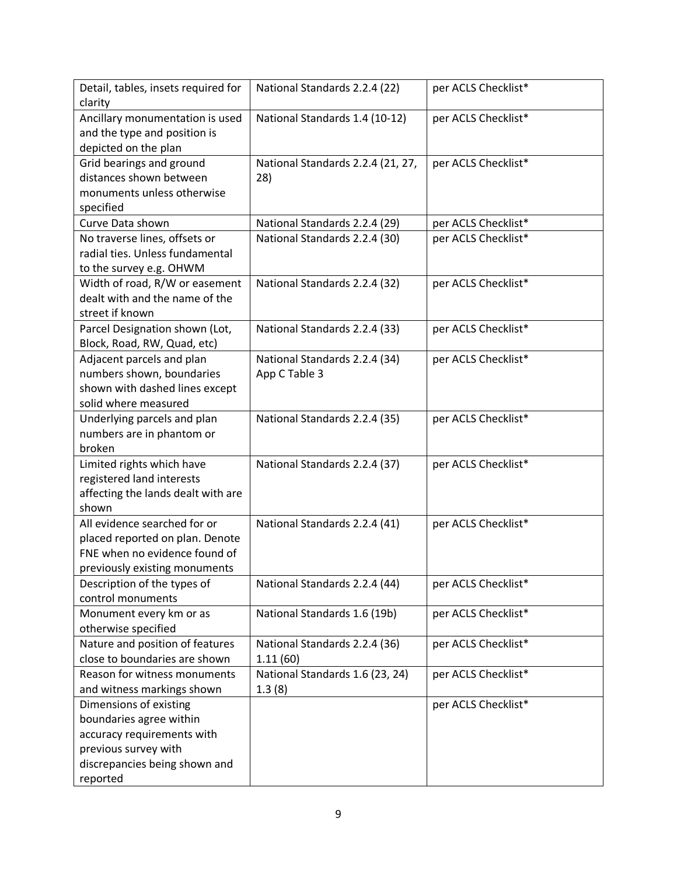| Detail, tables, insets required for<br>clarity                                                                                                       | National Standards 2.2.4 (22)                  | per ACLS Checklist* |
|------------------------------------------------------------------------------------------------------------------------------------------------------|------------------------------------------------|---------------------|
| Ancillary monumentation is used<br>and the type and position is<br>depicted on the plan                                                              | National Standards 1.4 (10-12)                 | per ACLS Checklist* |
| Grid bearings and ground<br>distances shown between<br>monuments unless otherwise<br>specified                                                       | National Standards 2.2.4 (21, 27,<br>28)       | per ACLS Checklist* |
| Curve Data shown                                                                                                                                     | National Standards 2.2.4 (29)                  | per ACLS Checklist* |
| No traverse lines, offsets or<br>radial ties. Unless fundamental<br>to the survey e.g. OHWM                                                          | National Standards 2.2.4 (30)                  | per ACLS Checklist* |
| Width of road, R/W or easement<br>dealt with and the name of the<br>street if known                                                                  | National Standards 2.2.4 (32)                  | per ACLS Checklist* |
| Parcel Designation shown (Lot,<br>Block, Road, RW, Quad, etc)                                                                                        | National Standards 2.2.4 (33)                  | per ACLS Checklist* |
| Adjacent parcels and plan<br>numbers shown, boundaries<br>shown with dashed lines except<br>solid where measured                                     | National Standards 2.2.4 (34)<br>App C Table 3 | per ACLS Checklist* |
| Underlying parcels and plan<br>numbers are in phantom or<br>broken                                                                                   | National Standards 2.2.4 (35)                  | per ACLS Checklist* |
| Limited rights which have<br>registered land interests<br>affecting the lands dealt with are<br>shown                                                | National Standards 2.2.4 (37)                  | per ACLS Checklist* |
| All evidence searched for or<br>placed reported on plan. Denote<br>FNE when no evidence found of<br>previously existing monuments                    | National Standards 2.2.4 (41)                  | per ACLS Checklist* |
| Description of the types of<br>control monuments                                                                                                     | National Standards 2.2.4 (44)                  | per ACLS Checklist* |
| Monument every km or as<br>otherwise specified                                                                                                       | National Standards 1.6 (19b)                   | per ACLS Checklist* |
| Nature and position of features<br>close to boundaries are shown                                                                                     | National Standards 2.2.4 (36)<br>1.11(60)      | per ACLS Checklist* |
| Reason for witness monuments<br>and witness markings shown                                                                                           | National Standards 1.6 (23, 24)<br>1.3(8)      | per ACLS Checklist* |
| Dimensions of existing<br>boundaries agree within<br>accuracy requirements with<br>previous survey with<br>discrepancies being shown and<br>reported |                                                | per ACLS Checklist* |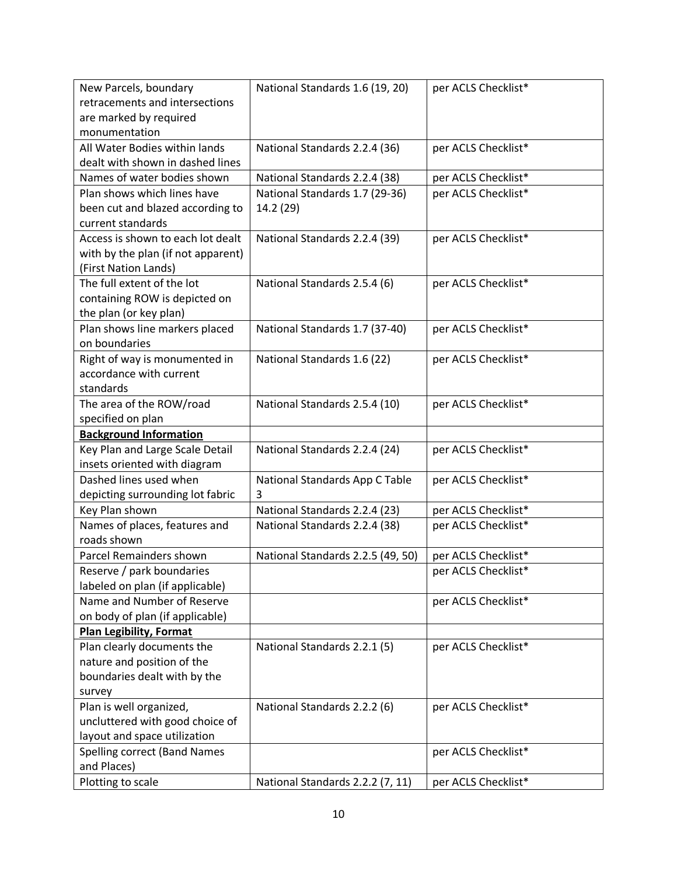| New Parcels, boundary                                  | National Standards 1.6 (19, 20)     | per ACLS Checklist* |
|--------------------------------------------------------|-------------------------------------|---------------------|
| retracements and intersections                         |                                     |                     |
| are marked by required                                 |                                     |                     |
| monumentation                                          |                                     |                     |
| All Water Bodies within lands                          | National Standards 2.2.4 (36)       | per ACLS Checklist* |
| dealt with shown in dashed lines                       |                                     |                     |
| Names of water bodies shown                            | National Standards 2.2.4 (38)       | per ACLS Checklist* |
| Plan shows which lines have                            | National Standards 1.7 (29-36)      | per ACLS Checklist* |
| been cut and blazed according to                       | 14.2 (29)                           |                     |
| current standards                                      |                                     |                     |
| Access is shown to each lot dealt                      | National Standards 2.2.4 (39)       | per ACLS Checklist* |
| with by the plan (if not apparent)                     |                                     |                     |
| (First Nation Lands)                                   |                                     |                     |
| The full extent of the lot                             | National Standards 2.5.4 (6)        | per ACLS Checklist* |
| containing ROW is depicted on                          |                                     |                     |
| the plan (or key plan)                                 |                                     |                     |
| Plan shows line markers placed                         | National Standards 1.7 (37-40)      | per ACLS Checklist* |
| on boundaries                                          |                                     |                     |
| Right of way is monumented in                          | National Standards 1.6 (22)         | per ACLS Checklist* |
| accordance with current                                |                                     |                     |
| standards                                              |                                     |                     |
| The area of the ROW/road                               | National Standards 2.5.4 (10)       | per ACLS Checklist* |
| specified on plan                                      |                                     |                     |
| <b>Background Information</b>                          |                                     |                     |
| Key Plan and Large Scale Detail                        | National Standards 2.2.4 (24)       | per ACLS Checklist* |
| insets oriented with diagram<br>Dashed lines used when |                                     | per ACLS Checklist* |
| depicting surrounding lot fabric                       | National Standards App C Table<br>3 |                     |
| Key Plan shown                                         | National Standards 2.2.4 (23)       | per ACLS Checklist* |
| Names of places, features and                          | National Standards 2.2.4 (38)       | per ACLS Checklist* |
| roads shown                                            |                                     |                     |
| Parcel Remainders shown                                | National Standards 2.2.5 (49, 50)   | per ACLS Checklist* |
| Reserve / park boundaries                              |                                     | per ACLS Checklist* |
| labeled on plan (if applicable)                        |                                     |                     |
| Name and Number of Reserve                             |                                     | per ACLS Checklist* |
| on body of plan (if applicable)                        |                                     |                     |
| <b>Plan Legibility, Format</b>                         |                                     |                     |
| Plan clearly documents the                             | National Standards 2.2.1 (5)        | per ACLS Checklist* |
| nature and position of the                             |                                     |                     |
| boundaries dealt with by the                           |                                     |                     |
| survey                                                 |                                     |                     |
| Plan is well organized,                                | National Standards 2.2.2 (6)        | per ACLS Checklist* |
| uncluttered with good choice of                        |                                     |                     |
| layout and space utilization                           |                                     |                     |
| Spelling correct (Band Names                           |                                     | per ACLS Checklist* |
| and Places)                                            |                                     |                     |
| Plotting to scale                                      | National Standards 2.2.2 (7, 11)    | per ACLS Checklist* |